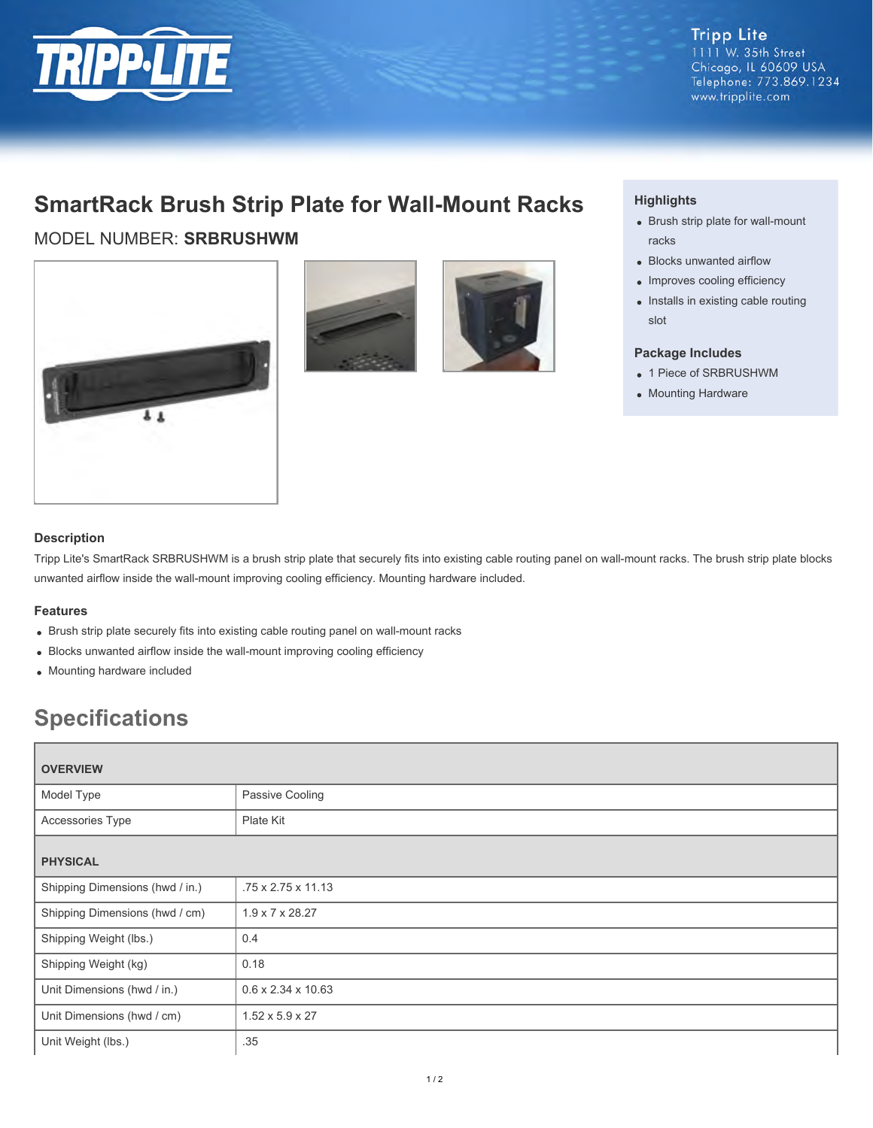

# **SmartRack Brush Strip Plate for Wall-Mount Racks**

MODEL NUMBER: **SRBRUSHWM**







## **Highlights**

- Brush strip plate for wall-mount racks
- Blocks unwanted airflow
- Improves cooling efficiency
- Installs in existing cable routing slot

#### **Package Includes**

- 1 Piece of SRBRUSHWM
- Mounting Hardware

### **Description**

Tripp Lite's SmartRack SRBRUSHWM is a brush strip plate that securely fits into existing cable routing panel on wall-mount racks. The brush strip plate blocks unwanted airflow inside the wall-mount improving cooling efficiency. Mounting hardware included.

#### **Features**

- Brush strip plate securely fits into existing cable routing panel on wall-mount racks
- Blocks unwanted airflow inside the wall-mount improving cooling efficiency
- Mounting hardware included

# **Specifications**

| <b>OVERVIEW</b>                 |                                |  |
|---------------------------------|--------------------------------|--|
| Model Type                      | Passive Cooling                |  |
| Accessories Type                | Plate Kit                      |  |
| <b>PHYSICAL</b>                 |                                |  |
| Shipping Dimensions (hwd / in.) | .75 x 2.75 x 11.13             |  |
| Shipping Dimensions (hwd / cm)  | $1.9 \times 7 \times 28.27$    |  |
| Shipping Weight (lbs.)          | 0.4                            |  |
| Shipping Weight (kg)            | 0.18                           |  |
| Unit Dimensions (hwd / in.)     | $0.6 \times 2.34 \times 10.63$ |  |
| Unit Dimensions (hwd / cm)      | $1.52 \times 5.9 \times 27$    |  |
| Unit Weight (lbs.)              | .35                            |  |